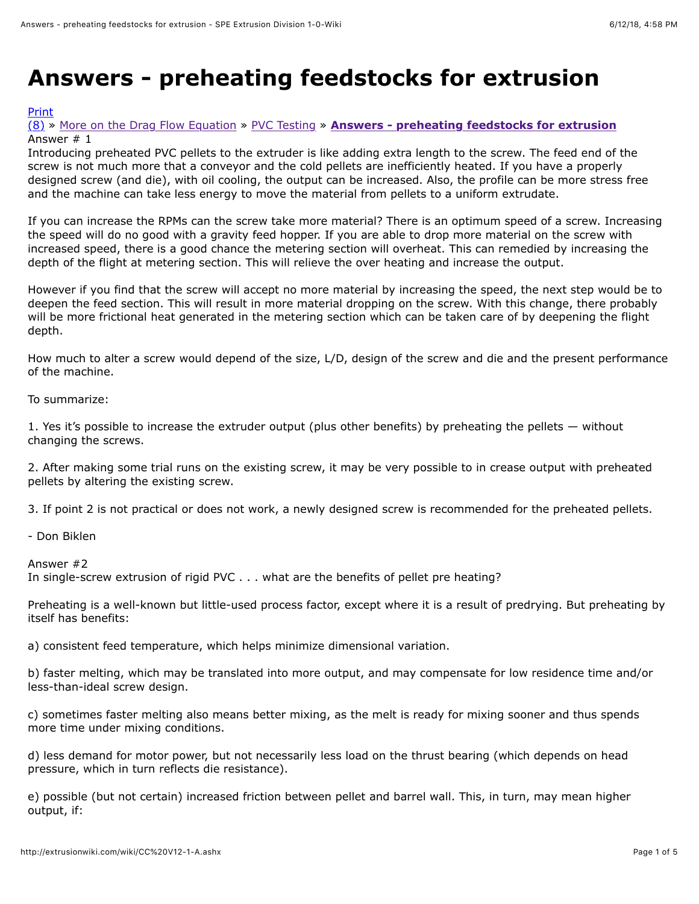# **Answers - preheating feedstocks for extrusion**

## [Print](http://extrusionwiki.com/wiki/Print.aspx?Page=CC%20V12-1-A)

## [\(8\)](http://extrusionwiki.com/wiki/CC%20V12-1-A.ashx#) » [More on the Drag Flow Equation](http://extrusionwiki.com/wiki/CC%20V7-3-A.ashx) » [PVC Testing](http://extrusionwiki.com/wiki/CC%20V7-3-B.ashx) » **[Answers - preheating feedstocks for extrusion](http://extrusionwiki.com/wiki/CC%20V12-1-A.ashx)** Answer # 1

Introducing preheated PVC pellets to the extruder is like adding extra length to the screw. The feed end of the screw is not much more that a conveyor and the cold pellets are inefficiently heated. If you have a properly designed screw (and die), with oil cooling, the output can be increased. Also, the profile can be more stress free and the machine can take less energy to move the material from pellets to a uniform extrudate.

If you can increase the RPMs can the screw take more material? There is an optimum speed of a screw. Increasing the speed will do no good with a gravity feed hopper. If you are able to drop more material on the screw with increased speed, there is a good chance the metering section will overheat. This can remedied by increasing the depth of the flight at metering section. This will relieve the over heating and increase the output.

However if you find that the screw will accept no more material by increasing the speed, the next step would be to deepen the feed section. This will result in more material dropping on the screw. With this change, there probably will be more frictional heat generated in the metering section which can be taken care of by deepening the flight depth.

How much to alter a screw would depend of the size, L/D, design of the screw and die and the present performance of the machine.

To summarize:

1. Yes it's possible to increase the extruder output (plus other benefits) by preheating the pellets — without changing the screws.

2. After making some trial runs on the existing screw, it may be very possible to in crease output with preheated pellets by altering the existing screw.

3. If point 2 is not practical or does not work, a newly designed screw is recommended for the preheated pellets.

- Don Biklen

Answer #2

In single-screw extrusion of rigid PVC . . . what are the benefits of pellet pre heating?

Preheating is a well-known but little-used process factor, except where it is a result of predrying. But preheating by itself has benefits:

a) consistent feed temperature, which helps minimize dimensional variation.

b) faster melting, which may be translated into more output, and may compensate for low residence time and/or less-than-ideal screw design.

c) sometimes faster melting also means better mixing, as the melt is ready for mixing sooner and thus spends more time under mixing conditions.

d) less demand for motor power, but not necessarily less load on the thrust bearing (which depends on head pressure, which in turn reflects die resistance).

e) possible (but not certain) increased friction between pellet and barrel wall. This, in turn, may mean higher output, if: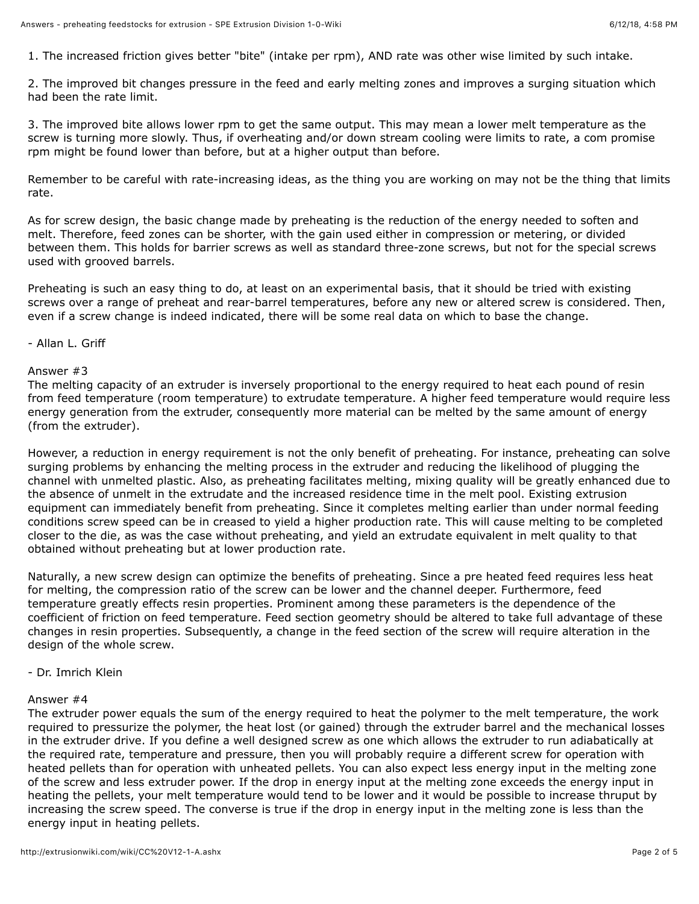1. The increased friction gives better "bite" (intake per rpm), AND rate was other wise limited by such intake.

2. The improved bit changes pressure in the feed and early melting zones and improves a surging situation which had been the rate limit.

3. The improved bite allows lower rpm to get the same output. This may mean a lower melt temperature as the screw is turning more slowly. Thus, if overheating and/or down stream cooling were limits to rate, a com promise rpm might be found lower than before, but at a higher output than before.

Remember to be careful with rate-increasing ideas, as the thing you are working on may not be the thing that limits rate.

As for screw design, the basic change made by preheating is the reduction of the energy needed to soften and melt. Therefore, feed zones can be shorter, with the gain used either in compression or metering, or divided between them. This holds for barrier screws as well as standard three-zone screws, but not for the special screws used with grooved barrels.

Preheating is such an easy thing to do, at least on an experimental basis, that it should be tried with existing screws over a range of preheat and rear-barrel temperatures, before any new or altered screw is considered. Then, even if a screw change is indeed indicated, there will be some real data on which to base the change.

#### - Allan L. Griff

#### Answer #3

The melting capacity of an extruder is inversely proportional to the energy required to heat each pound of resin from feed temperature (room temperature) to extrudate temperature. A higher feed temperature would require less energy generation from the extruder, consequently more material can be melted by the same amount of energy (from the extruder).

However, a reduction in energy requirement is not the only benefit of preheating. For instance, preheating can solve surging problems by enhancing the melting process in the extruder and reducing the likelihood of plugging the channel with unmelted plastic. Also, as preheating facilitates melting, mixing quality will be greatly enhanced due to the absence of unmelt in the extrudate and the increased residence time in the melt pool. Existing extrusion equipment can immediately benefit from preheating. Since it completes melting earlier than under normal feeding conditions screw speed can be in creased to yield a higher production rate. This will cause melting to be completed closer to the die, as was the case without preheating, and yield an extrudate equivalent in melt quality to that obtained without preheating but at lower production rate.

Naturally, a new screw design can optimize the benefits of preheating. Since a pre heated feed requires less heat for melting, the compression ratio of the screw can be lower and the channel deeper. Furthermore, feed temperature greatly effects resin properties. Prominent among these parameters is the dependence of the coefficient of friction on feed temperature. Feed section geometry should be altered to take full advantage of these changes in resin properties. Subsequently, a change in the feed section of the screw will require alteration in the design of the whole screw.

## - Dr. Imrich Klein

## Answer #4

The extruder power equals the sum of the energy required to heat the polymer to the melt temperature, the work required to pressurize the polymer, the heat lost (or gained) through the extruder barrel and the mechanical losses in the extruder drive. If you define a well designed screw as one which allows the extruder to run adiabatically at the required rate, temperature and pressure, then you will probably require a different screw for operation with heated pellets than for operation with unheated pellets. You can also expect less energy input in the melting zone of the screw and less extruder power. If the drop in energy input at the melting zone exceeds the energy input in heating the pellets, your melt temperature would tend to be lower and it would be possible to increase thruput by increasing the screw speed. The converse is true if the drop in energy input in the melting zone is less than the energy input in heating pellets.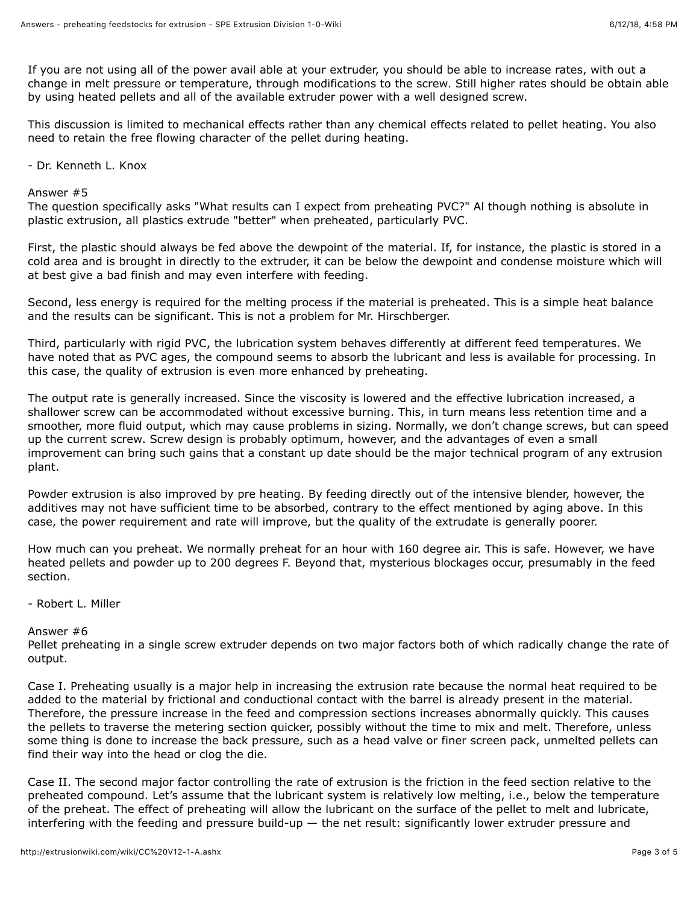If you are not using all of the power avail able at your extruder, you should be able to increase rates, with out a change in melt pressure or temperature, through modifications to the screw. Still higher rates should be obtain able by using heated pellets and all of the available extruder power with a well designed screw.

This discussion is limited to mechanical effects rather than any chemical effects related to pellet heating. You also need to retain the free flowing character of the pellet during heating.

- Dr. Kenneth L. Knox

#### Answer #5

The question specifically asks "What results can I expect from preheating PVC?" Al though nothing is absolute in plastic extrusion, all plastics extrude "better" when preheated, particularly PVC.

First, the plastic should always be fed above the dewpoint of the material. If, for instance, the plastic is stored in a cold area and is brought in directly to the extruder, it can be below the dewpoint and condense moisture which will at best give a bad finish and may even interfere with feeding.

Second, less energy is required for the melting process if the material is preheated. This is a simple heat balance and the results can be significant. This is not a problem for Mr. Hirschberger.

Third, particularly with rigid PVC, the lubrication system behaves differently at different feed temperatures. We have noted that as PVC ages, the compound seems to absorb the lubricant and less is available for processing. In this case, the quality of extrusion is even more enhanced by preheating.

The output rate is generally increased. Since the viscosity is lowered and the effective lubrication increased, a shallower screw can be accommodated without excessive burning. This, in turn means less retention time and a smoother, more fluid output, which may cause problems in sizing. Normally, we don't change screws, but can speed up the current screw. Screw design is probably optimum, however, and the advantages of even a small improvement can bring such gains that a constant up date should be the major technical program of any extrusion plant.

Powder extrusion is also improved by pre heating. By feeding directly out of the intensive blender, however, the additives may not have sufficient time to be absorbed, contrary to the effect mentioned by aging above. In this case, the power requirement and rate will improve, but the quality of the extrudate is generally poorer.

How much can you preheat. We normally preheat for an hour with 160 degree air. This is safe. However, we have heated pellets and powder up to 200 degrees F. Beyond that, mysterious blockages occur, presumably in the feed section.

## - Robert L. Miller

#### Answer #6

Pellet preheating in a single screw extruder depends on two major factors both of which radically change the rate of output.

Case I. Preheating usually is a major help in increasing the extrusion rate because the normal heat required to be added to the material by frictional and conductional contact with the barrel is already present in the material. Therefore, the pressure increase in the feed and compression sections increases abnormally quickly. This causes the pellets to traverse the metering section quicker, possibly without the time to mix and melt. Therefore, unless some thing is done to increase the back pressure, such as a head valve or finer screen pack, unmelted pellets can find their way into the head or clog the die.

Case II. The second major factor controlling the rate of extrusion is the friction in the feed section relative to the preheated compound. Let's assume that the lubricant system is relatively low melting, i.e., below the temperature of the preheat. The effect of preheating will allow the lubricant on the surface of the pellet to melt and lubricate, interfering with the feeding and pressure build-up — the net result: significantly lower extruder pressure and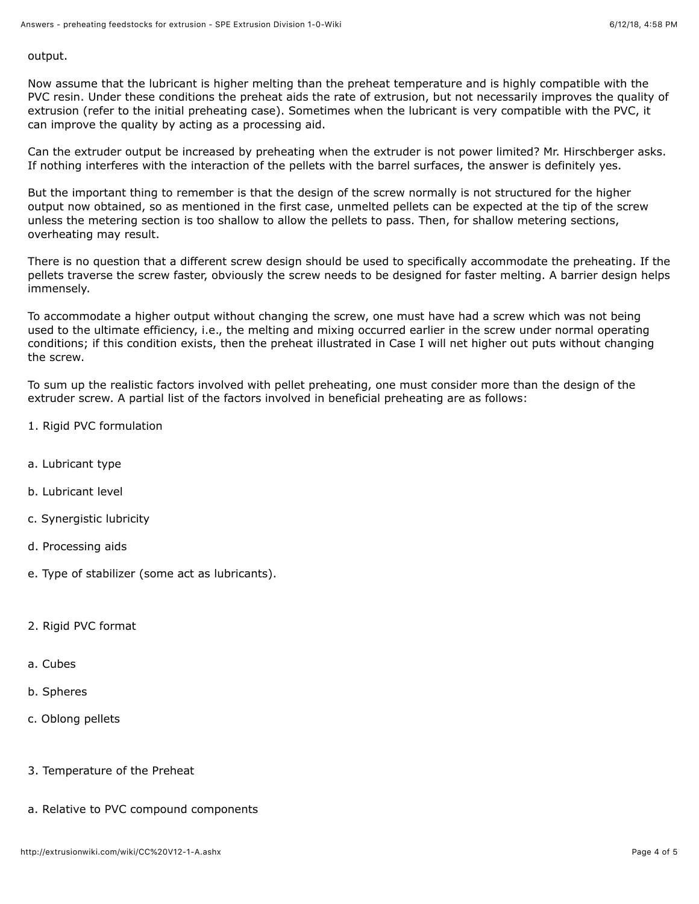output.

Now assume that the lubricant is higher melting than the preheat temperature and is highly compatible with the PVC resin. Under these conditions the preheat aids the rate of extrusion, but not necessarily improves the quality of extrusion (refer to the initial preheating case). Sometimes when the lubricant is very compatible with the PVC, it can improve the quality by acting as a processing aid.

Can the extruder output be increased by preheating when the extruder is not power limited? Mr. Hirschberger asks. If nothing interferes with the interaction of the pellets with the barrel surfaces, the answer is definitely yes.

But the important thing to remember is that the design of the screw normally is not structured for the higher output now obtained, so as mentioned in the first case, unmelted pellets can be expected at the tip of the screw unless the metering section is too shallow to allow the pellets to pass. Then, for shallow metering sections, overheating may result.

There is no question that a different screw design should be used to specifically accommodate the preheating. If the pellets traverse the screw faster, obviously the screw needs to be designed for faster melting. A barrier design helps immensely.

To accommodate a higher output without changing the screw, one must have had a screw which was not being used to the ultimate efficiency, i.e., the melting and mixing occurred earlier in the screw under normal operating conditions; if this condition exists, then the preheat illustrated in Case I will net higher out puts without changing the screw.

To sum up the realistic factors involved with pellet preheating, one must consider more than the design of the extruder screw. A partial list of the factors involved in beneficial preheating are as follows:

- 1. Rigid PVC formulation
- a. Lubricant type
- b. Lubricant level
- c. Synergistic lubricity
- d. Processing aids
- e. Type of stabilizer (some act as lubricants).
- 2. Rigid PVC format
- a. Cubes
- b. Spheres
- c. Oblong pellets
- 3. Temperature of the Preheat
- a. Relative to PVC compound components